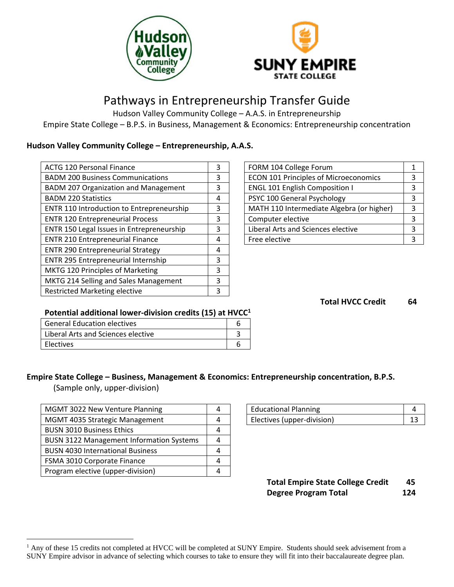



# Pathways in Entrepreneurship Transfer Guide

Hudson Valley Community College – A.A.S. in Entrepreneurship Empire State College – B.P.S. in Business, Management & Economics: Entrepreneurship concentration

# **Hudson Valley Community College – Entrepreneurship, A.A.S.**

| 3 | FORM 104 College Forum                       |   |
|---|----------------------------------------------|---|
| 3 | <b>ECON 101 Principles of Microeconomics</b> | 3 |
| 3 | <b>ENGL 101 English Composition I</b>        |   |
| 4 | PSYC 100 General Psychology                  | 3 |
| 3 | MATH 110 Intermediate Algebra (or higher)    | 3 |
| 3 | Computer elective                            | 3 |
| 3 | Liberal Arts and Sciences elective           | 3 |
| 4 | Free elective                                | 3 |
| 4 |                                              |   |
| 3 |                                              |   |
| 3 |                                              |   |
| 3 |                                              |   |
| 3 |                                              |   |
|   |                                              |   |

| FORM 104 College Forum                       | 1 |
|----------------------------------------------|---|
| <b>ECON 101 Principles of Microeconomics</b> | 3 |
| <b>ENGL 101 English Composition I</b>        | 3 |
| PSYC 100 General Psychology                  | 3 |
| MATH 110 Intermediate Algebra (or higher)    | 3 |
| Computer elective                            | 3 |
| Liberal Arts and Sciences elective           | 3 |
| Free elective                                |   |

**Total HVCC Credit 64**

# **Potential additional lower-division credits (15) at HVCC<sup>1</sup>**

| <b>General Education electives</b> |  |
|------------------------------------|--|
| Liberal Arts and Sciences elective |  |
| Electives                          |  |

# **Empire State College – Business, Management & Economics: Entrepreneurship concentration, B.P.S.**

(Sample only, upper-division)

 $\overline{a}$ 

| MGMT 3022 New Venture Planning                  |  | <b>Educational Planning</b> |  | 4  |
|-------------------------------------------------|--|-----------------------------|--|----|
| MGMT 4035 Strategic Management                  |  | Electives (upper-division)  |  | 13 |
| <b>BUSN 3010 Business Ethics</b>                |  |                             |  |    |
| <b>BUSN 3122 Management Information Systems</b> |  |                             |  |    |
| <b>BUSN 4030 International Business</b>         |  |                             |  |    |
| FSMA 3010 Corporate Finance                     |  |                             |  |    |
| Program elective (upper-division)               |  |                             |  |    |
|                                                 |  |                             |  |    |

| <b>Educational Planning</b> |  |
|-----------------------------|--|
| Electives (upper-division)  |  |

# **Total Empire State College Credit 45 Degree Program Total 124**

 $<sup>1</sup>$  Any of these 15 credits not completed at HVCC will be completed at SUNY Empire. Students should seek advisement from a</sup> SUNY Empire advisor in advance of selecting which courses to take to ensure they will fit into their baccalaureate degree plan.